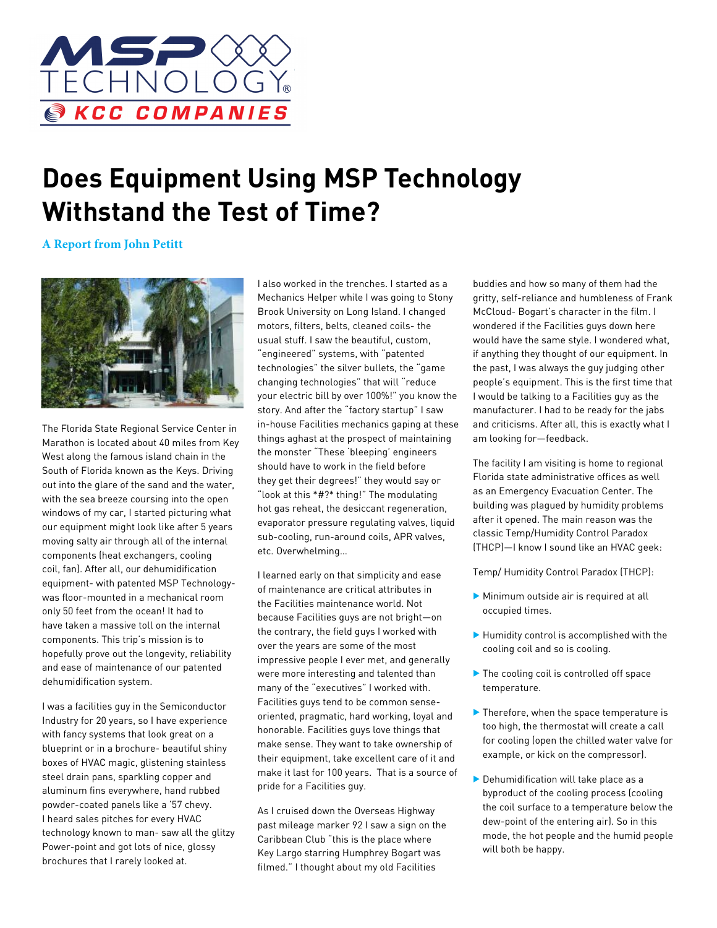

## **Does Equipment Using MSP Technology Withstand the Test of Time?**

**A Report from John Petitt**



The Florida State Regional Service Center in Marathon is located about 40 miles from Key West along the famous island chain in the South of Florida known as the Keys. Driving out into the glare of the sand and the water, with the sea breeze coursing into the open windows of my car, I started picturing what our equipment might look like after 5 years moving salty air through all of the internal components (heat exchangers, cooling coil, fan). After all, our dehumidification equipment- with patented MSP Technologywas floor-mounted in a mechanical room only 50 feet from the ocean! It had to have taken a massive toll on the internal components. This trip's mission is to hopefully prove out the longevity, reliability and ease of maintenance of our patented dehumidification system.

I was a facilities guy in the Semiconductor Industry for 20 years, so I have experience with fancy systems that look great on a blueprint or in a brochure- beautiful shiny boxes of HVAC magic, glistening stainless steel drain pans, sparkling copper and aluminum fins everywhere, hand rubbed powder-coated panels like a '57 chevy. I heard sales pitches for every HVAC technology known to man- saw all the glitzy Power-point and got lots of nice, glossy brochures that I rarely looked at.

I also worked in the trenches. I started as a Mechanics Helper while I was going to Stony Brook University on Long Island. I changed motors, filters, belts, cleaned coils- the usual stuff. I saw the beautiful, custom, "engineered" systems, with "patented technologies" the silver bullets, the "game changing technologies" that will "reduce your electric bill by over 100%!" you know the story. And after the "factory startup" I saw in-house Facilities mechanics gaping at these things aghast at the prospect of maintaining the monster "These 'bleeping' engineers should have to work in the field before they get their degrees!" they would say or "look at this \*#?\* thing!" The modulating hot gas reheat, the desiccant regeneration, evaporator pressure regulating valves, liquid sub-cooling, run-around coils, APR valves, etc. Overwhelming…

I learned early on that simplicity and ease of maintenance are critical attributes in the Facilities maintenance world. Not because Facilities guys are not bright—on the contrary, the field guys I worked with over the years are some of the most impressive people I ever met, and generally were more interesting and talented than many of the "executives" I worked with. Facilities guys tend to be common senseoriented, pragmatic, hard working, loyal and honorable. Facilities guys love things that make sense. They want to take ownership of their equipment, take excellent care of it and make it last for 100 years. That is a source of pride for a Facilities guy.

As I cruised down the Overseas Highway past mileage marker 92 I saw a sign on the Caribbean Club "this is the place where Key Largo starring Humphrey Bogart was filmed." I thought about my old Facilities

buddies and how so many of them had the gritty, self-reliance and humbleness of Frank McCloud- Bogart's character in the film. I wondered if the Facilities guys down here would have the same style. I wondered what, if anything they thought of our equipment. In the past, I was always the guy judging other people's equipment. This is the first time that I would be talking to a Facilities guy as the manufacturer. I had to be ready for the jabs and criticisms. After all, this is exactly what I am looking for—feedback.

The facility I am visiting is home to regional Florida state administrative offices as well as an Emergency Evacuation Center. The building was plagued by humidity problems after it opened. The main reason was the classic Temp/Humidity Control Paradox (THCP)—I know I sound like an HVAC geek:

Temp/ Humidity Control Paradox (THCP):

- $\blacktriangleright$  Minimum outside air is required at all occupied times.
- $\blacktriangleright$  Humidity control is accomplished with the cooling coil and so is cooling.
- $\blacktriangleright$  The cooling coil is controlled off space temperature.
- $\blacktriangleright$  Therefore, when the space temperature is too high, the thermostat will create a call for cooling (open the chilled water valve for example, or kick on the compressor).
- $\triangleright$  Dehumidification will take place as a byproduct of the cooling process (cooling the coil surface to a temperature below the dew-point of the entering air). So in this mode, the hot people and the humid people will both be happy.